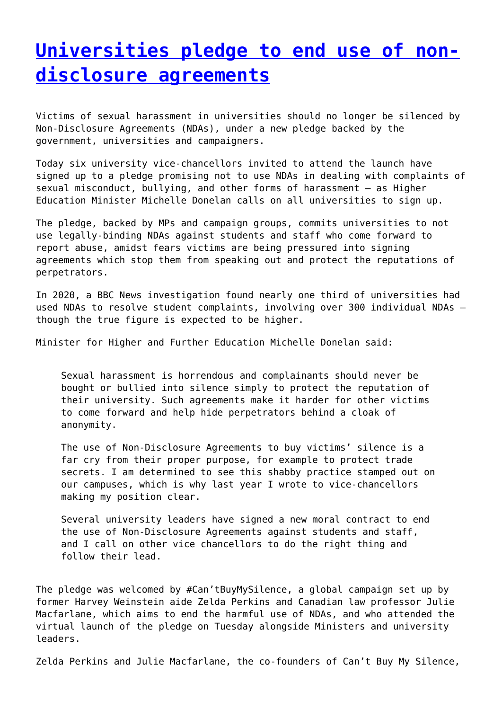## **[Universities pledge to end use of non](http://www.government-world.com/universities-pledge-to-end-use-of-non-disclosure-agreements/)[disclosure agreements](http://www.government-world.com/universities-pledge-to-end-use-of-non-disclosure-agreements/)**

Victims of sexual harassment in universities should no longer be silenced by Non-Disclosure Agreements (NDAs), under a new pledge backed by the government, universities and campaigners.

Today six university vice-chancellors invited to attend the launch have signed up to a pledge promising not to use NDAs in dealing with complaints of sexual misconduct, bullying, and other forms of harassment – as Higher Education Minister Michelle Donelan calls on all universities to sign up.

The pledge, backed by MPs and campaign groups, commits universities to not use legally-binding NDAs against students and staff who come forward to report abuse, amidst fears victims are being pressured into signing agreements which stop them from speaking out and protect the reputations of perpetrators.

In 2020, a BBC News investigation found nearly one third of universities had used NDAs to resolve student complaints, involving over 300 individual NDAs – though the true figure is expected to be higher.

Minister for Higher and Further Education Michelle Donelan said:

Sexual harassment is horrendous and complainants should never be bought or bullied into silence simply to protect the reputation of their university. Such agreements make it harder for other victims to come forward and help hide perpetrators behind a cloak of anonymity.

The use of Non-Disclosure Agreements to buy victims' silence is a far cry from their proper purpose, for example to protect trade secrets. I am determined to see this shabby practice stamped out on our campuses, which is why last year I wrote to vice-chancellors making my position clear.

Several university leaders have signed a new moral contract to end the use of Non-Disclosure Agreements against students and staff, and I call on other vice chancellors to do the right thing and follow their lead.

The pledge was welcomed by #Can'tBuyMySilence, a global campaign set up by former Harvey Weinstein aide Zelda Perkins and Canadian law professor Julie Macfarlane, which aims to end the harmful use of NDAs, and who attended the virtual launch of the pledge on Tuesday alongside Ministers and university leaders.

Zelda Perkins and Julie Macfarlane, the co-founders of Can't Buy My Silence,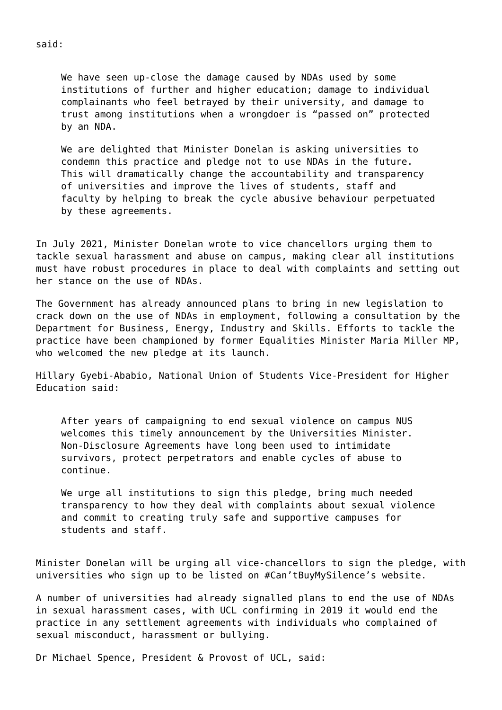We have seen up-close the damage caused by NDAs used by some institutions of further and higher education; damage to individual complainants who feel betrayed by their university, and damage to trust among institutions when a wrongdoer is "passed on" protected by an NDA.

We are delighted that Minister Donelan is asking universities to condemn this practice and pledge not to use NDAs in the future. This will dramatically change the accountability and transparency of universities and improve the lives of students, staff and faculty by helping to break the cycle abusive behaviour perpetuated by these agreements.

In July 2021, Minister Donelan wrote to vice chancellors urging them to tackle sexual harassment and abuse on campus, making clear all institutions must have robust procedures in place to deal with complaints and setting out her stance on the use of NDAs.

The Government has already announced plans to bring in new legislation to crack down on the use of NDAs in employment, following a consultation by the Department for Business, Energy, Industry and Skills. Efforts to tackle the practice have been championed by former Equalities Minister Maria Miller MP, who welcomed the new pledge at its launch.

Hillary Gyebi-Ababio, National Union of Students Vice-President for Higher Education said:

After years of campaigning to end sexual violence on campus NUS welcomes this timely announcement by the Universities Minister. Non-Disclosure Agreements have long been used to intimidate survivors, protect perpetrators and enable cycles of abuse to continue.

We urge all institutions to sign this pledge, bring much needed transparency to how they deal with complaints about sexual violence and commit to creating truly safe and supportive campuses for students and staff.

Minister Donelan will be urging all vice-chancellors to sign the pledge, with universities who sign up to be listed on #Can'tBuyMySilence's website.

A number of universities had already signalled plans to end the use of NDAs in sexual harassment cases, with UCL confirming in 2019 it would end the practice in any settlement agreements with individuals who complained of sexual misconduct, harassment or bullying.

Dr Michael Spence, President & Provost of UCL, said:

said: